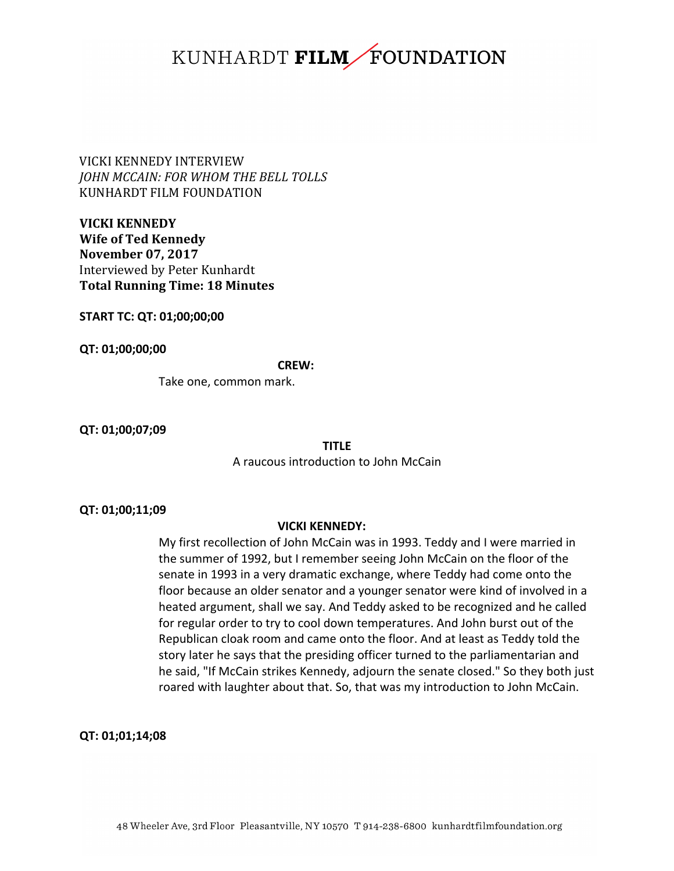VICKI KENNEDY INTERVIEW *JOHN MCCAIN: FOR WHOM THE BELL TOLLS* KUNHARDT FILM FOUNDATION

**VICKI KENNEDY Wife of Ted Kennedy November 07, 2017** Interviewed by Peter Kunhardt **Total Running Time: 18 Minutes**

**START TC: QT: 01;00;00;00**

**QT: 01;00;00;00**

**CREW:**

Take one, common mark.

**QT: 01;00;07;09**

**TITLE**

A raucous introduction to John McCain

#### **QT: 01;00;11;09**

## **VICKI KENNEDY:**

My first recollection of John McCain was in 1993. Teddy and I were married in the summer of 1992, but I remember seeing John McCain on the floor of the senate in 1993 in a very dramatic exchange, where Teddy had come onto the floor because an older senator and a younger senator were kind of involved in a heated argument, shall we say. And Teddy asked to be recognized and he called for regular order to try to cool down temperatures. And John burst out of the Republican cloak room and came onto the floor. And at least as Teddy told the story later he says that the presiding officer turned to the parliamentarian and he said, "If McCain strikes Kennedy, adjourn the senate closed." So they both just roared with laughter about that. So, that was my introduction to John McCain.

**QT: 01;01;14;08**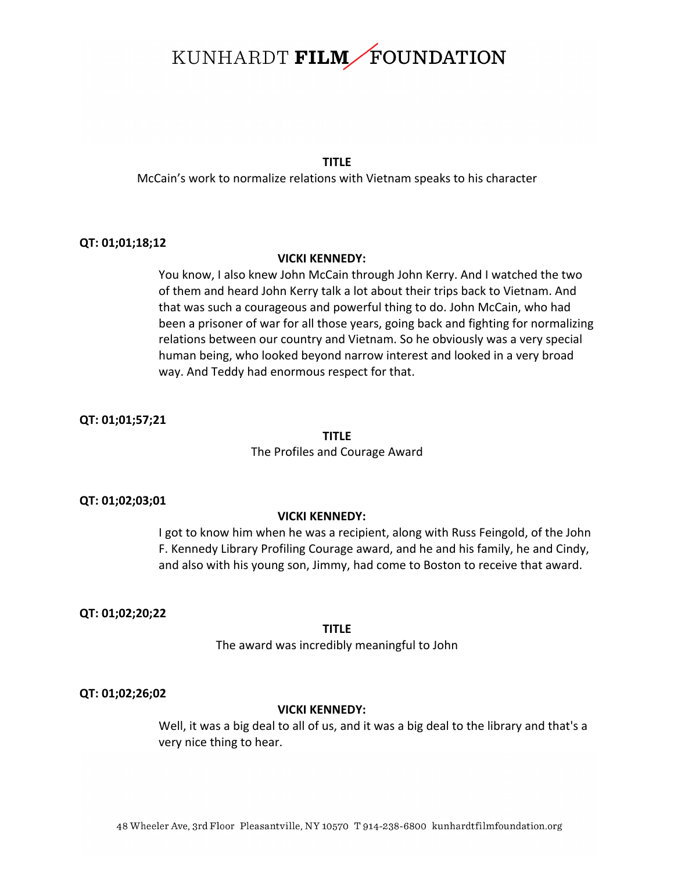## **TITLE**

McCain's work to normalize relations with Vietnam speaks to his character

## **QT: 01;01;18;12**

#### **VICKI KENNEDY:**

You know, I also knew John McCain through John Kerry. And I watched the two of them and heard John Kerry talk a lot about their trips back to Vietnam. And that was such a courageous and powerful thing to do. John McCain, who had been a prisoner of war for all those years, going back and fighting for normalizing relations between our country and Vietnam. So he obviously was a very special human being, who looked beyond narrow interest and looked in a very broad way. And Teddy had enormous respect for that.

## **QT: 01;01;57;21**

## **TITLE**

## The Profiles and Courage Award

#### **QT: 01;02;03;01**

## **VICKI KENNEDY:**

I got to know him when he was a recipient, along with Russ Feingold, of the John F. Kennedy Library Profiling Courage award, and he and his family, he and Cindy, and also with his young son, Jimmy, had come to Boston to receive that award.

#### **QT: 01;02;20;22**

#### **TITLE**

The award was incredibly meaningful to John

#### **QT: 01;02;26;02**

## **VICKI KENNEDY:**

Well, it was a big deal to all of us, and it was a big deal to the library and that's a very nice thing to hear.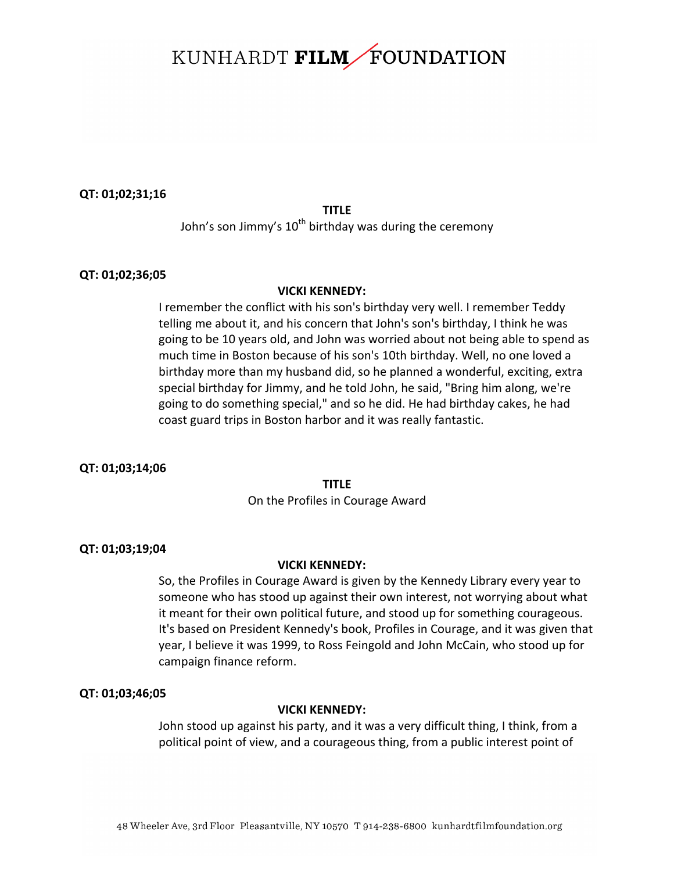#### **QT: 01;02;31;16**

### **TITLE**

John's son Jimmy's  $10^{th}$  birthday was during the ceremony

#### **QT: 01;02;36;05**

#### **VICKI KENNEDY:**

I remember the conflict with his son's birthday very well. I remember Teddy telling me about it, and his concern that John's son's birthday, I think he was going to be 10 years old, and John was worried about not being able to spend as much time in Boston because of his son's 10th birthday. Well, no one loved a birthday more than my husband did, so he planned a wonderful, exciting, extra special birthday for Jimmy, and he told John, he said, "Bring him along, we're going to do something special," and so he did. He had birthday cakes, he had coast guard trips in Boston harbor and it was really fantastic.

**QT: 01;03;14;06**

#### **TITLE**

On the Profiles in Courage Award

#### **QT: 01;03;19;04**

## **VICKI KENNEDY:**

So, the Profiles in Courage Award is given by the Kennedy Library every year to someone who has stood up against their own interest, not worrying about what it meant for their own political future, and stood up for something courageous. It's based on President Kennedy's book, Profiles in Courage, and it was given that year, I believe it was 1999, to Ross Feingold and John McCain, who stood up for campaign finance reform.

#### **QT: 01;03;46;05**

#### **VICKI KENNEDY:**

John stood up against his party, and it was a very difficult thing, I think, from a political point of view, and a courageous thing, from a public interest point of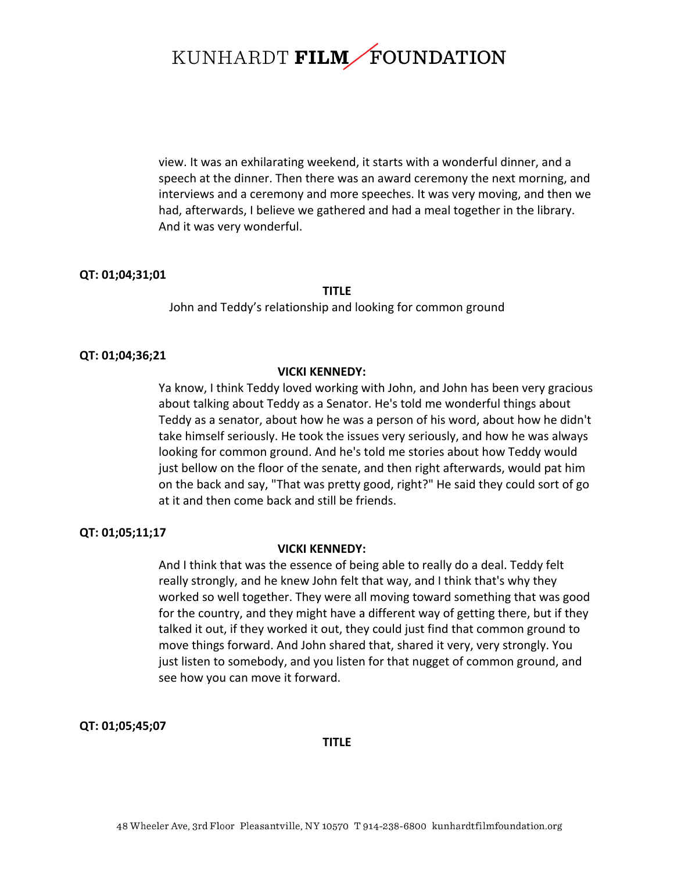view. It was an exhilarating weekend, it starts with a wonderful dinner, and a speech at the dinner. Then there was an award ceremony the next morning, and interviews and a ceremony and more speeches. It was very moving, and then we had, afterwards, I believe we gathered and had a meal together in the library. And it was very wonderful.

#### **QT: 01;04;31;01**

#### **TITLE**

John and Teddy's relationship and looking for common ground

#### **QT: 01;04;36;21**

#### **VICKI KENNEDY:**

Ya know, I think Teddy loved working with John, and John has been very gracious about talking about Teddy as a Senator. He's told me wonderful things about Teddy as a senator, about how he was a person of his word, about how he didn't take himself seriously. He took the issues very seriously, and how he was always looking for common ground. And he's told me stories about how Teddy would just bellow on the floor of the senate, and then right afterwards, would pat him on the back and say, "That was pretty good, right?" He said they could sort of go at it and then come back and still be friends.

## **QT: 01;05;11;17**

#### **VICKI KENNEDY:**

And I think that was the essence of being able to really do a deal. Teddy felt really strongly, and he knew John felt that way, and I think that's why they worked so well together. They were all moving toward something that was good for the country, and they might have a different way of getting there, but if they talked it out, if they worked it out, they could just find that common ground to move things forward. And John shared that, shared it very, very strongly. You just listen to somebody, and you listen for that nugget of common ground, and see how you can move it forward.

#### **QT: 01;05;45;07**

**TITLE**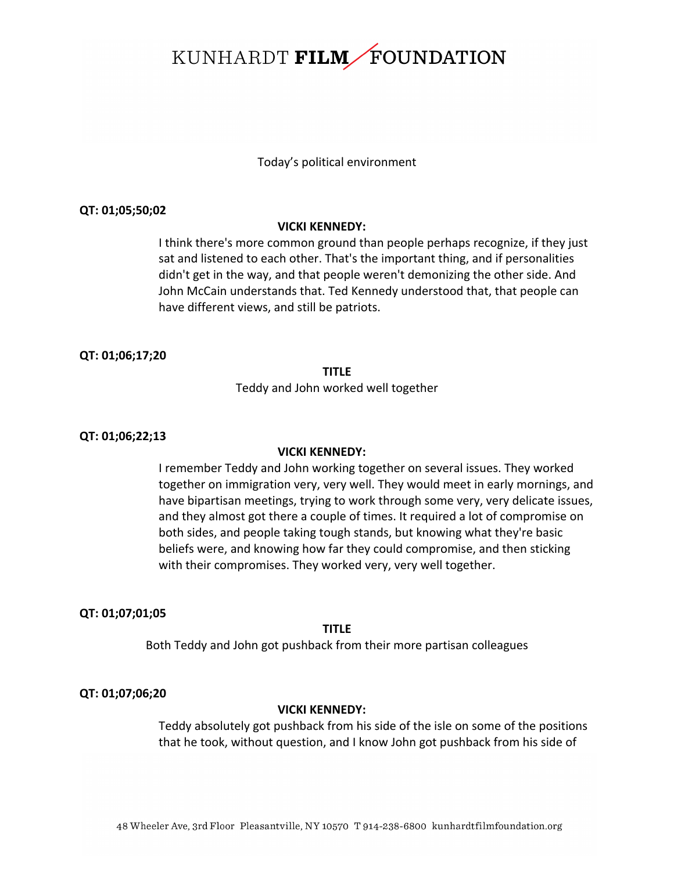## Today's political environment

### **QT: 01;05;50;02**

#### **VICKI KENNEDY:**

I think there's more common ground than people perhaps recognize, if they just sat and listened to each other. That's the important thing, and if personalities didn't get in the way, and that people weren't demonizing the other side. And John McCain understands that. Ted Kennedy understood that, that people can have different views, and still be patriots.

#### **QT: 01;06;17;20**

#### **TITLE**

Teddy and John worked well together

## **QT: 01;06;22;13**

#### **VICKI KENNEDY:**

I remember Teddy and John working together on several issues. They worked together on immigration very, very well. They would meet in early mornings, and have bipartisan meetings, trying to work through some very, very delicate issues, and they almost got there a couple of times. It required a lot of compromise on both sides, and people taking tough stands, but knowing what they're basic beliefs were, and knowing how far they could compromise, and then sticking with their compromises. They worked very, very well together.

#### **QT: 01;07;01;05**

**TITLE**

Both Teddy and John got pushback from their more partisan colleagues

#### **QT: 01;07;06;20**

## **VICKI KENNEDY:**

Teddy absolutely got pushback from his side of the isle on some of the positions that he took, without question, and I know John got pushback from his side of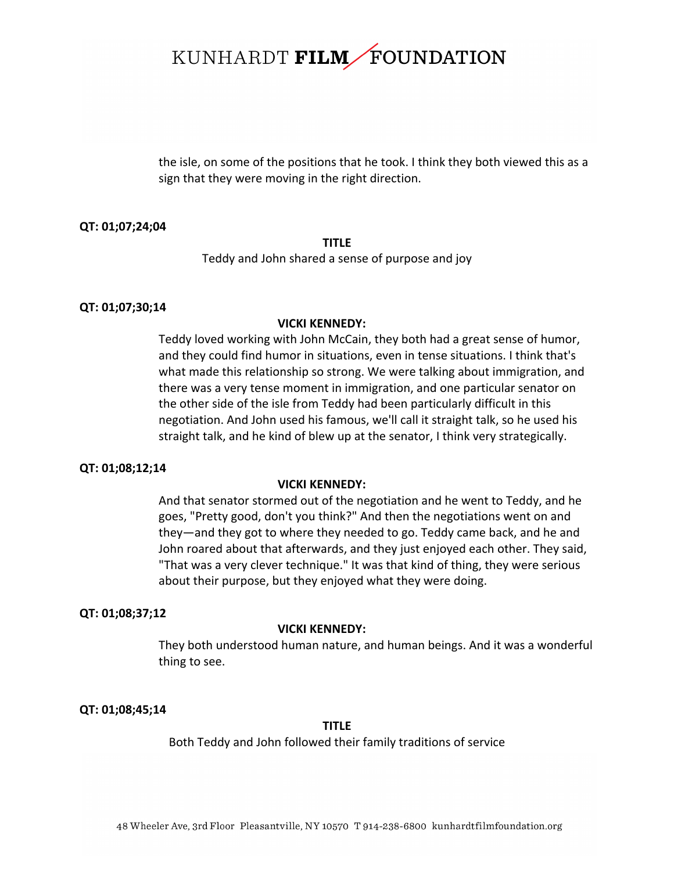the isle, on some of the positions that he took. I think they both viewed this as a sign that they were moving in the right direction.

#### **QT: 01;07;24;04**

## **TITLE**

Teddy and John shared a sense of purpose and joy

#### **QT: 01;07;30;14**

#### **VICKI KENNEDY:**

Teddy loved working with John McCain, they both had a great sense of humor, and they could find humor in situations, even in tense situations. I think that's what made this relationship so strong. We were talking about immigration, and there was a very tense moment in immigration, and one particular senator on the other side of the isle from Teddy had been particularly difficult in this negotiation. And John used his famous, we'll call it straight talk, so he used his straight talk, and he kind of blew up at the senator, I think very strategically.

#### **QT: 01;08;12;14**

#### **VICKI KENNEDY:**

And that senator stormed out of the negotiation and he went to Teddy, and he goes, "Pretty good, don't you think?" And then the negotiations went on and they—and they got to where they needed to go. Teddy came back, and he and John roared about that afterwards, and they just enjoyed each other. They said, "That was a very clever technique." It was that kind of thing, they were serious about their purpose, but they enjoyed what they were doing.

#### **QT: 01;08;37;12**

#### **VICKI KENNEDY:**

They both understood human nature, and human beings. And it was a wonderful thing to see.

#### **QT: 01;08;45;14**

#### **TITLE**

Both Teddy and John followed their family traditions of service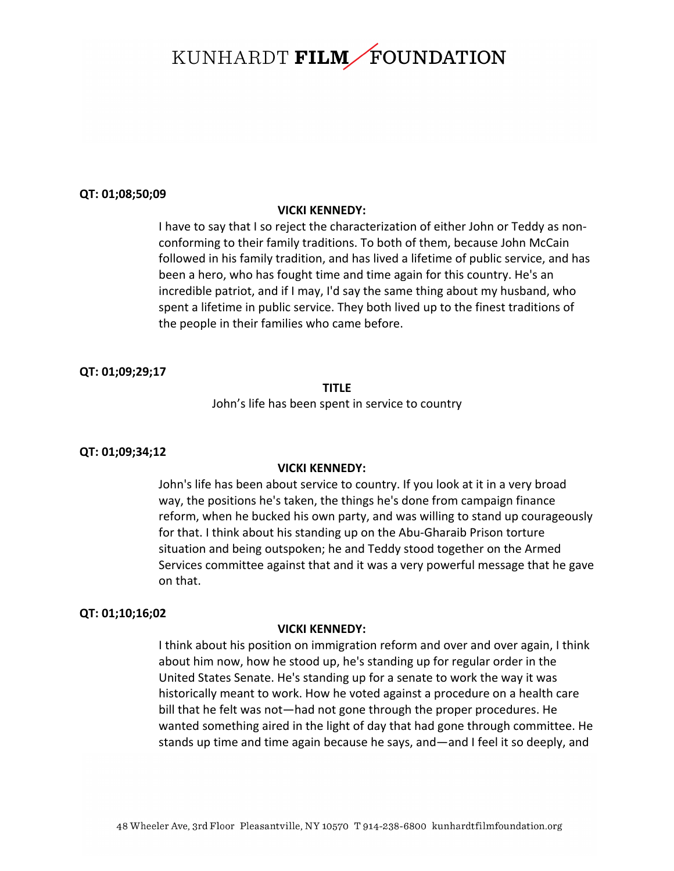#### **QT: 01;08;50;09**

#### **VICKI KENNEDY:**

I have to say that I so reject the characterization of either John or Teddy as nonconforming to their family traditions. To both of them, because John McCain followed in his family tradition, and has lived a lifetime of public service, and has been a hero, who has fought time and time again for this country. He's an incredible patriot, and if I may, I'd say the same thing about my husband, who spent a lifetime in public service. They both lived up to the finest traditions of the people in their families who came before.

#### **QT: 01;09;29;17**

## **TITLE**

John's life has been spent in service to country

#### **QT: 01;09;34;12**

#### **VICKI KENNEDY:**

John's life has been about service to country. If you look at it in a very broad way, the positions he's taken, the things he's done from campaign finance reform, when he bucked his own party, and was willing to stand up courageously for that. I think about his standing up on the Abu-Gharaib Prison torture situation and being outspoken; he and Teddy stood together on the Armed Services committee against that and it was a very powerful message that he gave on that. 

#### **QT: 01;10;16;02**

#### **VICKI KENNEDY:**

I think about his position on immigration reform and over and over again, I think about him now, how he stood up, he's standing up for regular order in the United States Senate. He's standing up for a senate to work the way it was historically meant to work. How he voted against a procedure on a health care bill that he felt was not—had not gone through the proper procedures. He wanted something aired in the light of day that had gone through committee. He stands up time and time again because he says, and—and I feel it so deeply, and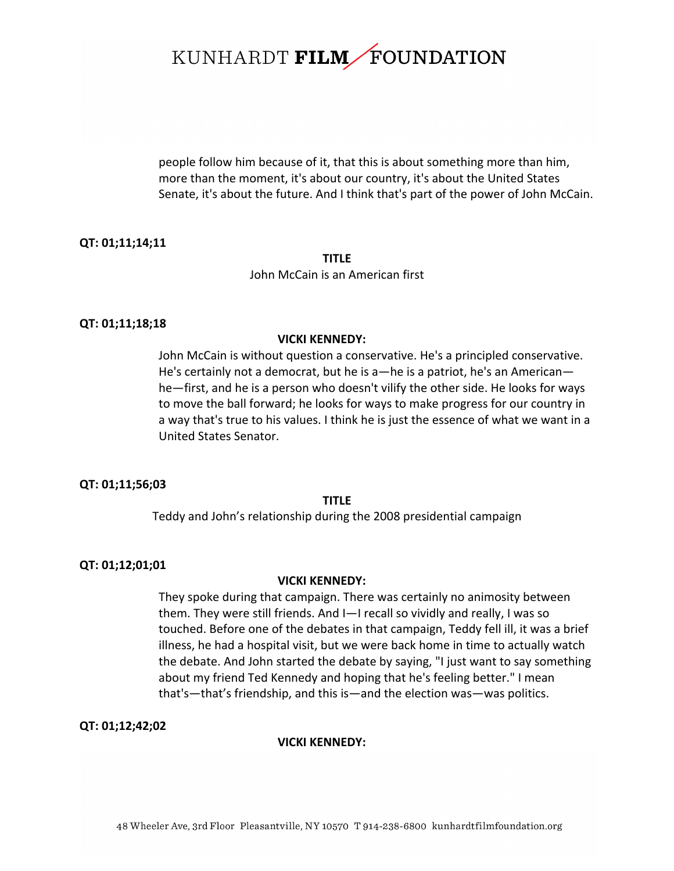people follow him because of it, that this is about something more than him, more than the moment, it's about our country, it's about the United States Senate, it's about the future. And I think that's part of the power of John McCain.

## **QT: 01;11;14;11**

#### **TITLE** John McCain is an American first

#### **QT: 01;11;18;18**

#### **VICKI KENNEDY:**

John McCain is without question a conservative. He's a principled conservative. He's certainly not a democrat, but he is a—he is a patriot, he's an American he-first, and he is a person who doesn't vilify the other side. He looks for ways to move the ball forward; he looks for ways to make progress for our country in a way that's true to his values. I think he is just the essence of what we want in a United States Senator.

#### **QT: 01;11;56;03**

#### **TITLE**

Teddy and John's relationship during the 2008 presidential campaign

#### **QT: 01;12;01;01**

#### **VICKI KENNEDY:**

They spoke during that campaign. There was certainly no animosity between them. They were still friends. And I-I recall so vividly and really, I was so touched. Before one of the debates in that campaign, Teddy fell ill, it was a brief illness, he had a hospital visit, but we were back home in time to actually watch the debate. And John started the debate by saying, "I just want to say something about my friend Ted Kennedy and hoping that he's feeling better." I mean that's—that's friendship, and this is—and the election was—was politics.

## **QT: 01;12;42;02**

#### **VICKI KENNEDY:**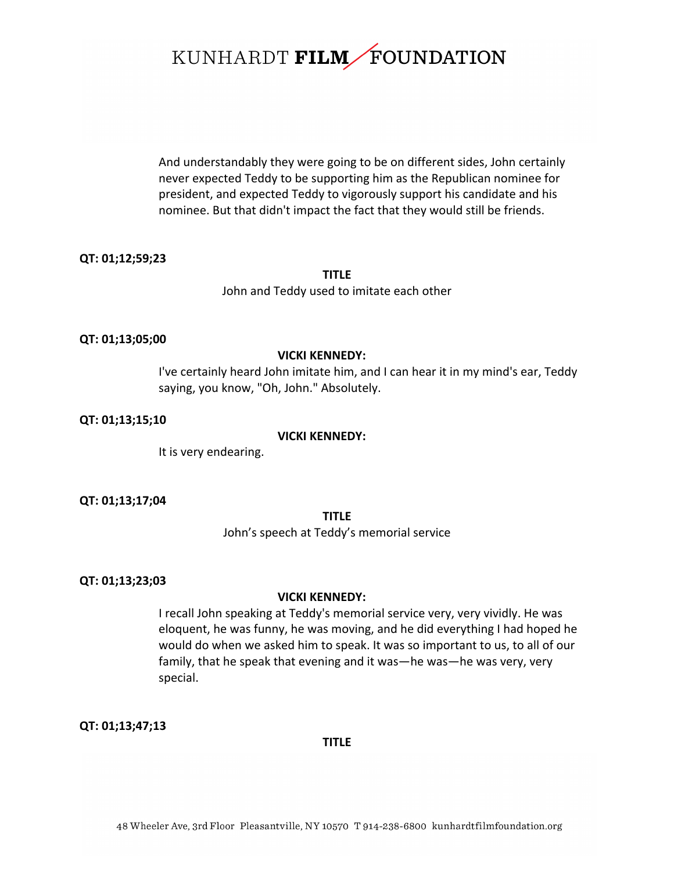And understandably they were going to be on different sides, John certainly never expected Teddy to be supporting him as the Republican nominee for president, and expected Teddy to vigorously support his candidate and his nominee. But that didn't impact the fact that they would still be friends.

#### **QT: 01;12;59;23**

## **TITLE** John and Teddy used to imitate each other

#### **QT: 01;13;05;00**

#### **VICKI KENNEDY:**

I've certainly heard John imitate him, and I can hear it in my mind's ear, Teddy saying, you know, "Oh, John." Absolutely.

#### **QT: 01;13;15;10**

#### **VICKI KENNEDY:**

It is very endearing.

## **QT: 01;13;17;04**

#### **TITLE**

John's speech at Teddy's memorial service

## **QT: 01;13;23;03**

## **VICKI KENNEDY:**

I recall John speaking at Teddy's memorial service very, very vividly. He was eloquent, he was funny, he was moving, and he did everything I had hoped he would do when we asked him to speak. It was so important to us, to all of our family, that he speak that evening and it was—he was—he was very, very special.

**QT: 01;13;47;13**

#### **TITLE**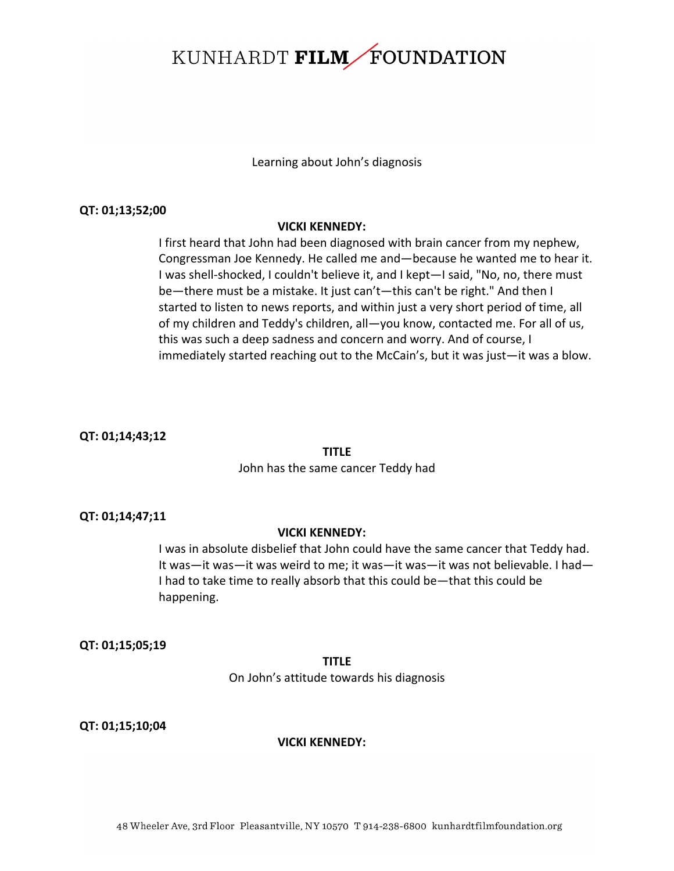Learning about John's diagnosis

#### **QT: 01;13;52;00**

#### **VICKI KENNEDY:**

I first heard that John had been diagnosed with brain cancer from my nephew, Congressman Joe Kennedy. He called me and—because he wanted me to hear it. I was shell-shocked, I couldn't believe it, and I kept—I said, "No, no, there must be—there must be a mistake. It just can't—this can't be right." And then I started to listen to news reports, and within just a very short period of time, all of my children and Teddy's children, all-you know, contacted me. For all of us, this was such a deep sadness and concern and worry. And of course, I immediately started reaching out to the McCain's, but it was just—it was a blow.

## **QT: 01;14;43;12**

#### **TITLE**

#### John has the same cancer Teddy had

#### **QT: 01;14;47;11**

## **VICKI KENNEDY:**

I was in absolute disbelief that John could have the same cancer that Teddy had. It was—it was—it was weird to me; it was—it was—it was not believable. I had— I had to take time to really absorb that this could be—that this could be happening. 

#### **QT: 01;15;05;19**

## **TITLE**

On John's attitude towards his diagnosis

## **QT: 01;15;10;04**

## **VICKI KENNEDY:**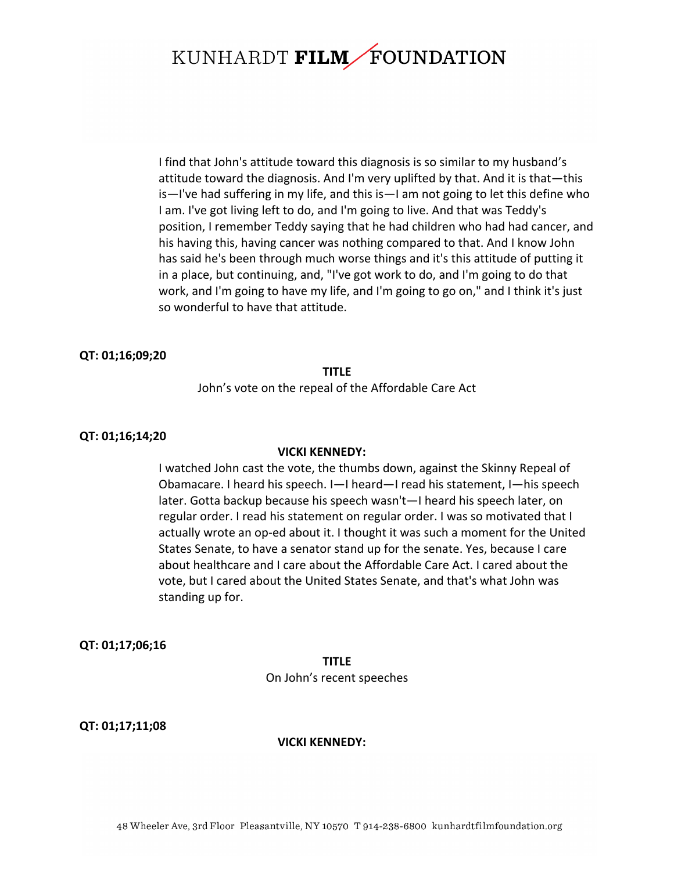I find that John's attitude toward this diagnosis is so similar to my husband's attitude toward the diagnosis. And I'm very uplifted by that. And it is that—this  $is$ —I've had suffering in my life, and this  $is$ —I am not going to let this define who I am. I've got living left to do, and I'm going to live. And that was Teddy's position, I remember Teddy saying that he had children who had had cancer, and his having this, having cancer was nothing compared to that. And I know John has said he's been through much worse things and it's this attitude of putting it in a place, but continuing, and, "I've got work to do, and I'm going to do that work, and I'm going to have my life, and I'm going to go on," and I think it's just so wonderful to have that attitude.

## **QT: 01;16;09;20**

#### **TITLE**

John's vote on the repeal of the Affordable Care Act

### **QT: 01;16;14;20**

#### **VICKI KENNEDY:**

I watched John cast the vote, the thumbs down, against the Skinny Repeal of Obamacare. I heard his speech. I-I heard-I read his statement, I-his speech later. Gotta backup because his speech wasn't—I heard his speech later, on regular order. I read his statement on regular order. I was so motivated that I actually wrote an op-ed about it. I thought it was such a moment for the United States Senate, to have a senator stand up for the senate. Yes, because I care about healthcare and I care about the Affordable Care Act. I cared about the vote, but I cared about the United States Senate, and that's what John was standing up for.

**QT: 01;17;06;16**

**TITLE** On John's recent speeches

**QT: 01;17;11;08**

#### **VICKI KENNEDY:**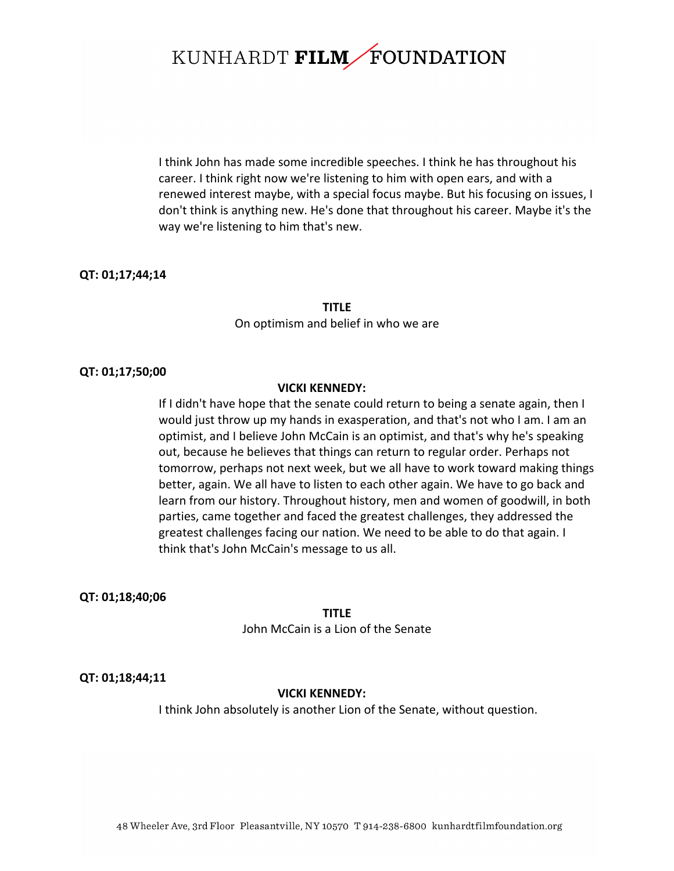I think John has made some incredible speeches. I think he has throughout his career. I think right now we're listening to him with open ears, and with a renewed interest maybe, with a special focus maybe. But his focusing on issues, I don't think is anything new. He's done that throughout his career. Maybe it's the way we're listening to him that's new.

## **QT: 01;17;44;14**

**TITLE** On optimism and belief in who we are

#### **QT: 01;17;50;00**

### **VICKI KENNEDY:**

If I didn't have hope that the senate could return to being a senate again, then I would just throw up my hands in exasperation, and that's not who I am. I am an optimist, and I believe John McCain is an optimist, and that's why he's speaking out, because he believes that things can return to regular order. Perhaps not tomorrow, perhaps not next week, but we all have to work toward making things better, again. We all have to listen to each other again. We have to go back and learn from our history. Throughout history, men and women of goodwill, in both parties, came together and faced the greatest challenges, they addressed the greatest challenges facing our nation. We need to be able to do that again. I think that's John McCain's message to us all.

## **QT: 01;18;40;06**

**TITLE** John McCain is a Lion of the Senate

## **QT: 01;18;44;11**

## **VICKI KENNEDY:**

I think John absolutely is another Lion of the Senate, without question.